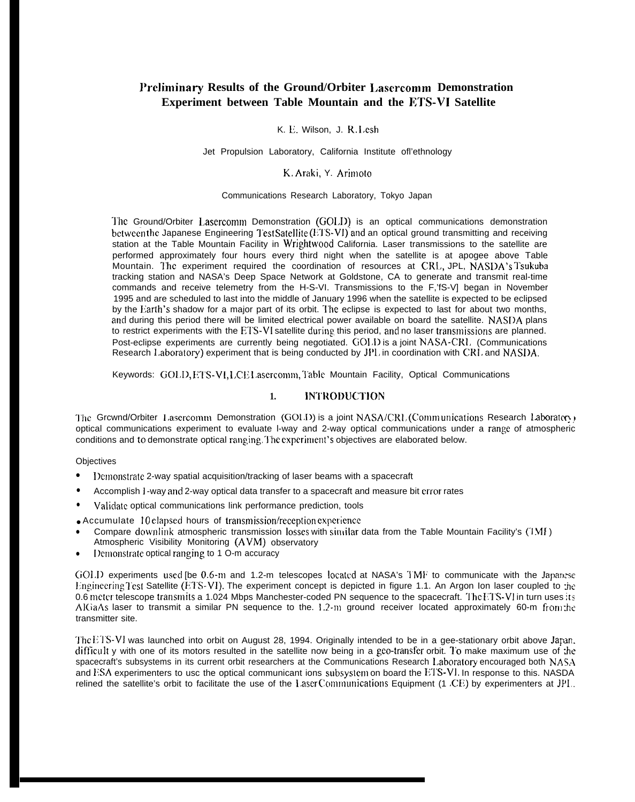# Preliminary Results of the Ground/Orbiter Lasercomm Demonstration Experiment between Table Mountain and the ETS-VI Satellite

#### K. E. Wilson, J. R. Lesh

Jet Propulsion Laboratory, California Institute of l'ethnology

# K. Araki, Y. Arimoto

#### Communications Research Laboratory, Tokyo Japan

The Ground/Orbiter Lasercomm Demonstration (GOLD) is an optical communications demonstration between the Japanese Engineering Test Satellite (ETS-VI) and an optical ground transmitting and receiving station at the Table Mountain Facility in Wrightwood California. Laser transmissions to the satellite are performed approximately four hours every third night when the satellite is at apogee above Table Mountain. The experiment required the coordination of resources at CRL, JPL, NASDA's Tsukuba tracking station and NASA's Deep Space Network at Goldstone, CA to generate and transmit real-time commands and receive telemetry from the H-S-VI. Transmissions to the F,'fS-V] began in November 1995 and are scheduled to last into the middle of January 1996 when the satellite is expected to be eclipsed by the Earth's shadow for a major part of its orbit. The eclipse is expected to last for about two months, and during this period there will be limited electrical power available on board the satellite. NASDA plans to restrict experiments with the ETS-VI satellite during this period, and no laser transmissions are planned. Post-eclipse experiments are currently being negotiated. GOLD is a joint NASA-CRL (Communications Research Laboratory) experiment that is being conducted by JPL in coordination with CRL and NASDA.

Keywords: GOLD, ETS-VI, LCEL asercomm, Table Mountain Facility, Optical Communications

#### **INTRODUCTION**  $1.$

The Grewnd/Orbiter Lasercomm Demonstration (GOLD) is a joint NASA/CRL (Communications Research Laboratory) optical communications experiment to evaluate I-way and 2-way optical communications under a range of atmospheric conditions and to demonstrate optical ranging. The experiment's objectives are elaborated below.

Objectives

- Demonstrate 2-way spatial acquisition/tracking of laser beams with a spacecraft
- Accomplish I -way and 2-way optical data transfer to a spacecraft and measure bit crror rates
- Validate optical communications link performance prediction, tools

• Accumulate 10 clapsed hours of transmission/reception experience

- Compare downlink atmospheric transmission losses with similar data from the Table Mountain Facility's (1Mf) Atmospheric Visibility Monitoring (AVM) observatory
- Demonstrate optical ranging to 1 O-m accuracy

GOLI) experiments used [be 0.6-m and 1.2-m telescopes located at NASA's TMF to communicate with the Japanese Engineering Test Satellite (ETS-VI). The experiment concept is depicted in figure 1.1. An Argon Ion laser coupled to the 0.6 meter telescope transmits a 1.024 Mbps Manchester-coded PN sequence to the spacecraft. The FTS-VI in turn uses its AlGaAs laser to transmit a similar PN sequence to the 1.2-m ground receiver located approximately 60-m from the transmitter site.

The ETS-VI was launched into orbit on August 28, 1994. Originally intended to be in a gee-stationary orbit above Jaran, difficult y with one of its motors resulted in the satellite now being in a gco-transfer orbit. To make maximum use of the spacecraft's subsystems in its current orbit researchers at the Communications Research Laboratory encouraged both NASA and ESA experimenters to usc the optical communicant ions subsystem on board the ETS-VI. In response to this. NASDA relined the satellite's orbit to facilitate the use of the Laser Communications Equipment (1 CE) by experimenters at JPL.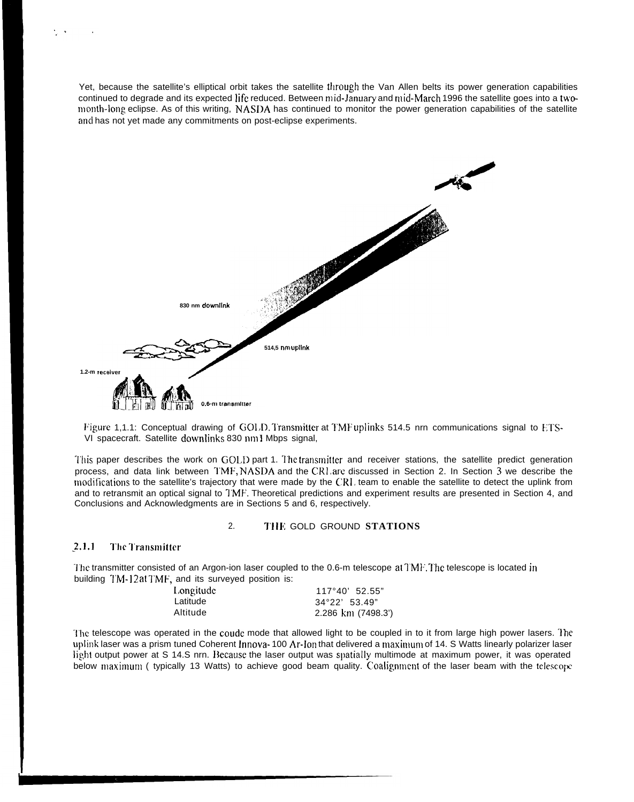Yet, because the satellite's elliptical orbit takes the satellite through the Van Allen belts its power generation capabilities continued to degrade and its expected life reduced. Between mid-January and mid-March 1996 the satellite goes into a twomonth-long eclipse. As of this writing, NASDA has continued to monitor the power generation capabilities of the satellite and has not yet made any commitments on post-eclipse experiments.



Figure 1,1.1: Conceptual drawing of  $GOL$ D. Transmitter at TMF uplinks 514.5 nrn communications signal to ETS-VI spacecraft. Satellite downIinks 830 nm 1 Mbps signal,

This paper describes the work on GOLI) part 1. The transmitter and receiver stations, the satellite predict generation process, and data link between TMF, NASDA and the CRI, arc discussed in Section 2. In Section 3 we describe the modifications to the satellite's trajectory that were made by the CRI, team to enable the satellite to detect the uplink from and to retransmit an optical signal to I'MF'. Theoretical predictions and experiment results are presented in Section 4, and Conclusions and Acknowledgments are in Sections 5 and 6, respectively.

### 2. TIIK GOLD GROUND **STATIONS**

#### 2,1.1 **I'hr I'ransmittcr**

 $\sim$ 

The transmitter consisted of an Argon-ion laser coupled to the 0.6-m telescope at TMF. The telescope is located in building TM-12 at TMF, and its surveyed position is:

| Longitude | $117°40'$ 52.55"       |
|-----------|------------------------|
| Latitude  | $34^{\circ}22'$ 53.49" |
| Altitude  | 2.286 km (7498.3')     |

'1'hc telescope was operated in the coudc mode that allowed light to be coupled in to it from large high power lasers. lhe uplink laser was a prism tuned Coherent Innova-100 Ar-Ion that delivered a maximum of 14. S Watts linearly polarizer laser light output power at S 14.S nrn. Because the laser output was spatially multimode at maximum power, it was operated below maximum ( typically 13 Watts) to achieve good beam quality. Coalignment of the laser beam with the telescope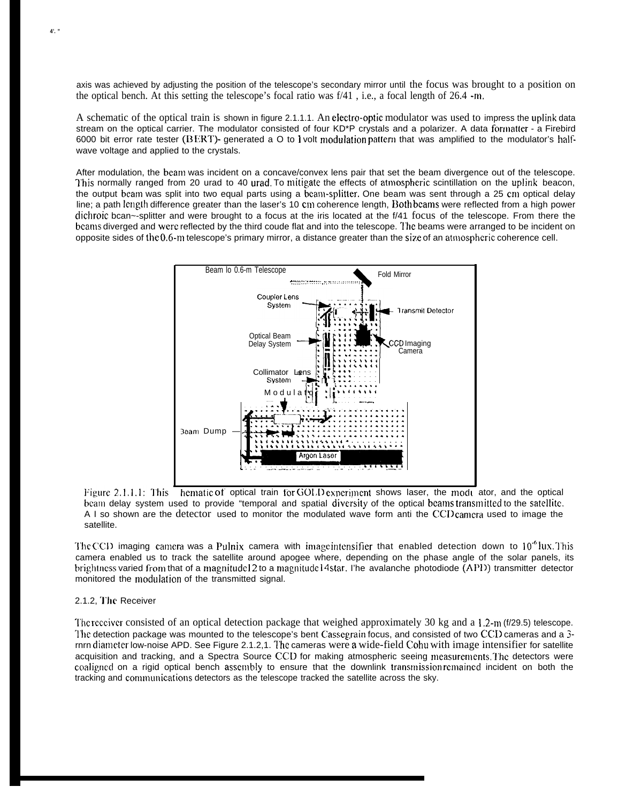axis was achieved by adjusting the position of the telescope's secondary mirror until the focus was brought to a position on the optical bench. At this setting the telescope's focal ratio was  $f/41$ , i.e., a focal length of 26.4 -m.

A schematic of the optical train is shown in figure 2.1.1.1. An electro-optic modulator was used to impress the uplink data stream on the optical carrier. The modulator consisted of four KD\*P crystals and a polarizer. A data formatter - a Firebird 6000 bit error rate tester ( $BERT$ )- generated a O to I volt modulation pattern that was amplified to the modulator's halfwave voltage and applied to the crystals.

After modulation, the beam was incident on a concave/convex lens pair that set the beam divergence out of the telescope. This normally ranged from 20 urad to 40 urad. To mitigate the effects of atmospheric scintillation on the uplink beacon, the output beam was split into two equal parts using a beam-splitter. One beam was sent through a 25 cm optical delay line; a path length difference greater than the laser's 10 cm coherence length, Both bcams were reflected from a high power dichroic bcan~-splitter and were brought to a focus at the iris located at the f/41 focus of the telescope. From there the bcams diverged and were reflected by the third coude flat and into the telescope. The beams were arranged to be incident on



Figure 2.1.1.1: This hematic of optical train for GOLD experiment shows laser, the modu ator, and the optical beam delay system used to provide "temporal and spatial diversity of the optical beams transmitted to the satellite. A I so shown are the detector used to monitor the modulated wave form anti the CCD camera used to image the satellite.

The CCD imaging camera was a Pulnix camera with image intensifier that enabled detection down to  $10^{-6}$  lux. This camera enabled us to track the satellite around apogee where, depending on the phase angle of the solar panels, its brightness varied from that of a magnitude 12 to a magnitude 14 star. I'he avalanche photodiode (API)) transmitter detector monitored the modulation of the transmitted signal.

#### 2.1.2, The Receiver

The recciver consisted of an optical detection package that weighed approximately 30 kg and a 1.2-m ( $f/29.5$ ) telescope. The detection package was mounted to the telescope's bent Cassegrain focus, and consisted of two CCD cameras and a 3rnrn dianleter low-noise APD. See Figure 2.1.2,1. The cameras were a wide-field Cohu with image intensifier for satellite acquisition and tracking, and a Spectra Source CCD for making atmospheric seeing measurements. The detectors were coaligned on a rigid optical bench assembly to ensure that the downlink transmission remained incident on both the tracking and conununications detectors as the telescope tracked the satellite across the sky.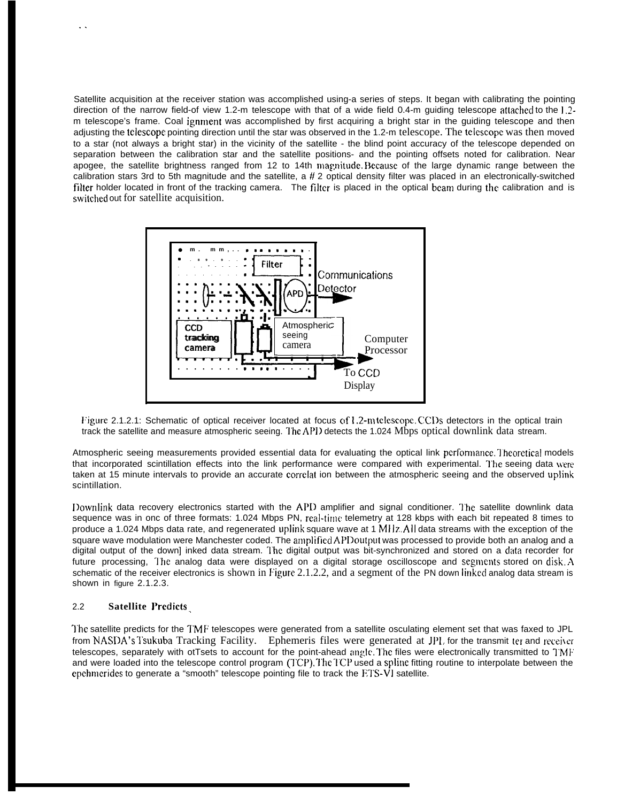Satellite acquisition at the receiver station was accomplished using-a series of steps. It began with calibrating the pointing direction of the narrow field-of view 1.2-m telescope with that of a wide field 0.4-m guiding telescope attached to the 1.2 m telescope's frame. Coal ignment was accomplished by first acquiring a bright star in the guiding telescope and then adjusting the tclescopc pointing direction until the star was observed in the 1.2-m telescope. The tclcscopc was then moved to a star (not always a bright star) in the vicinity of the satellite - the blind point accuracy of the telescope depended on separation between the calibration star and the satellite positions- and the pointing offsets noted for calibration. Near apogee, the satellite brightness ranged from 12 to 14th magnitude. Because of the large dynamic range between the calibration stars 3rd to 5th magnitude and the satellite, a  $#2$  optical density filter was placed in an electronically-switched filter holder located in front of the tracking camera. The filter is placed in the optical beam during the calibration and is switched out for satellite acquisition.



Figure 2.1.2.1: Schematic of optical receiver located at focus of 1.2-m telescope. CCIYs detectors in the optical train track the satellite and measure atmospheric seeing. The API) detects the 1.024 Mbps optical downlink data stream.

Atmospheric seeing measurements provided essential data for evaluating the optical link performance. Theoretical models that incorporated scintillation effects into the link performance were compared with experimental. The seeing data were taken at 15 minute intervals to provide an accurate corrclat ion between the atmospheric seeing and the observed uplink scintillation.

I>ownlink data recovery electronics started with the API) amplifier and signal conditioner. 'I'he satellite downlink data sequence was in onc of three formats: 1.024 Mbps PN, real-tirnc telemetry at 128 kbps with each bit repeated 8 times to produce a 1.024 Mbps data rate, and regenerated uplink square wave at 1 MHz. All data streams with the exception of the square wave modulation were Manchester coded. The amplified APD output was processed to provide both an analog and a digital output of the down] inked data stream. I'hc digital output was bit-synchronized and stored on a clata recorder for future processing, The analog data were displayed on a digital storage oscilloscope and segments stored on disk,  $A$ schematic of the receiver electronics is shown in Figure 2.1.2.2, and a segment of the PN down linked analog data stream is shown in figure 2.1.2.3.

### 2.2 **Satellite J'rcdicts <sup>~</sup>**

. .

']'hc satellite predicts for the TMF telescopes were generated from a satellite osculating element set that was faxed to JPL from NASDA's Tsukuba Tracking Facility. Ephemeris files were generated at JPL for the transmit ter and receiver telescopes, separately with otTsets to account for the point-ahead angle. The files were electronically transmitted to TMF and were loaded into the telescope control program (TCP). The TCP used a spline fitting routine to interpolate between the epchmerides to generate a "smooth" telescope pointing file to track the ETS-VI satellite.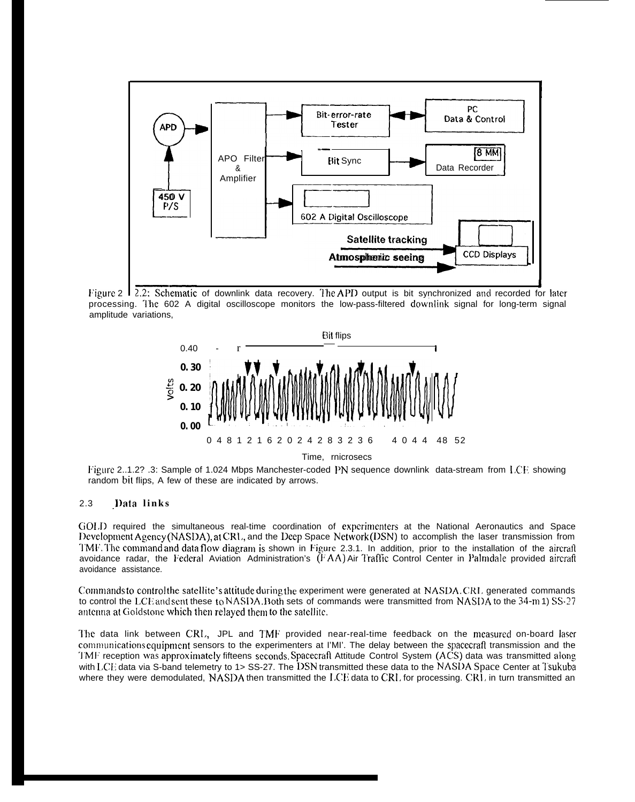

Figure 2 1 2.2: Schematic of downlink data recovery. The APD output is bit synchronized and recorded for later processing. The 602 A digital oscilloscope monitors the low-pass-filtered downlink signal for long-term signal amplitude variations,



Figure 2..1.2? .3: Sample of 1.024 Mbps Manchester-coded PN sequence downlink data-stream from LCF showing random bit flips, A few of these are indicated by arrows.

#### $2.3$ Data links

GOLD required the simultaneous real-time coordination of experimenters at the National Aeronautics and Space Development Agency (NASDA), at CRL, and the Deep Space Network (DSN) to accomplish the laser transmission from TMF. The command and data flow diagram is shown in Figure 2.3.1. In addition, prior to the installation of the aircraft avoidance radar, the Federal Aviation Administration's (FAA) Air Traffic Control Center in Palmdale provided aircraft avoidance assistance.

Commands to control the satellite's attitude during the experiment were generated at NASDA.CRL generated commands to control the LCE and sent these to NASDA. Both sets of commands were transmitted from NASDA to the 34-m 1) SS-27 antenna at Goldstone which then relayed them to the satellite.

The data link between CRI., JPL and TMF provided near-real-time feedback on the measured on-board laser communications equipment sensors to the experimenters at I'MI'. The delay between the spacecraft transmission and the TMF reception was approximately fifteens seconds Spacecraft Attitude Control System (ACS) data was transmitted along with LCE data via S-band telemetry to 1> SS-27. The DSN transmitted these data to the NASDA Space Center at Tsukuba where they were demodulated, NASDA then transmitted the LCE data to CRL for processing. CR1, in turn transmitted an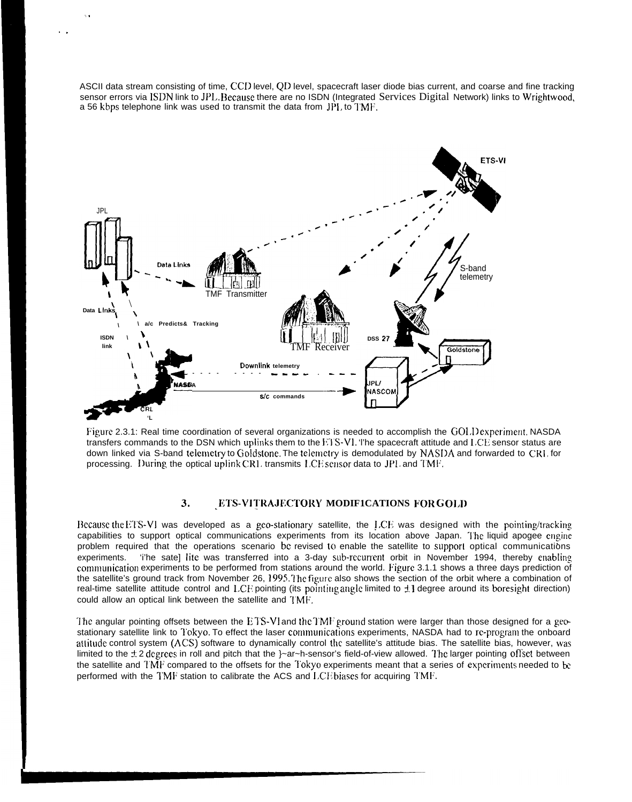ASCII data stream consisting of time, CCD level, QD level, spacecraft laser diode bias current, and coarse and fine tracking sensor errors via ISDN link to JPL. Decause there are no ISDN (Integrated Services Digital Network) links to Wrightwood, a 56 kbps telephone link was used to transmit the data from JPI, to I'MF.

. .

. .



Figure 2.3.1: Real time coordination of several organizations is needed to accomplish the GOI, Dexperiment, NASDA transfers commands to the DSN which uplinks them to the ETS-VI. The spacecraft attitude and  $LCE$  sensor status are down linked via S-band telemetry to Goldstone. The telemetry is demodulated by NASDA and forwarded to CRI, for processing. During the optical uplink CR1, transmits I.CE sensor data to JP1, and TMF.

# 3. **LETS-VI ~'RAJECTORY MODIF1CATIONS FOR C; OI,])**

Il Because the ETS-VI was developed as a gco-stationary satellite, the LCE was designed with the pointing/tracking capabilities to support optical communications experiments from its location above Japan. The liquid apogee cngine problem required that the operations scenario bc revised to enable the satellite to support optical communications experiments. 'i'he sate] lite was transferred into a 3-day sub-recurrent orbit in November 1994, thereby enabling communication experiments to be performed from stations around the world. Figure 3.1.1 shows a three days prediction of the satellite's ground track from November 26, 1995. The figure also shows the section of the orbit where a combination of real-time satellite attitude control and LCE pointing (its pointing angle limited to  $\pm 1$  degree around its boresight direction) could allow an optical link between the satellite and TMF.

The angular pointing offsets between the ETS-VI and the TMF ground station were larger than those designed for a geostationary satellite link to Tokyo. To effect the laser communications experiments, NASDA had to re-program the onboard atiitude control system (ACS) software to dynamically control the satellite's attitude bias. The satellite bias, however, was limited to the  $\pm 2$  degrees in roll and pitch that the }~ar~h-sensor's field-of-view allowed. The larger pointing offset between the satellite and  $1\text{MP}$  compared to the offsets for the  $7$ okyo experiments meant that a series of experiments needed to be performed with the TMF station to calibrate the ACS and LCE biases for acquiring TMF.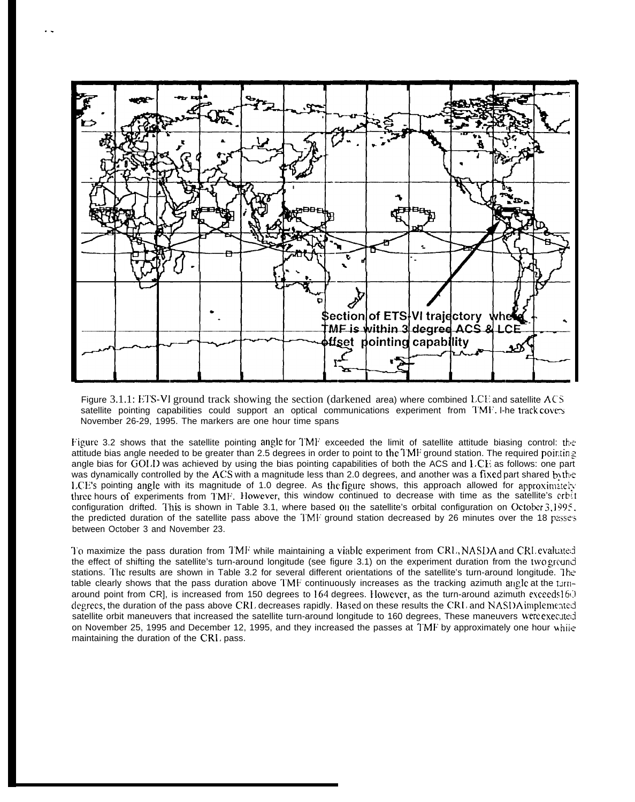

. .

Figure  $3.1.1$ : ETS-VI ground track showing the section (darkened area) where combined LCE and satellite  $ACS$ satellite pointing capabilities could support an optical communications experiment from  $\text{TMF}$ . I-he track covers November 26-29, 1995. The markers are one hour time spans

Figure 3.2 shows that the satellite pointing angle for  $TMF$  exceeded the limit of satellite attitude biasing control: the attitude bias angle needed to be greater than 2.5 degrees in order to point to the TMF ground station. The required pointing angle bias for GOI.I) was achieved by using the bias pointing capabilities of both the ACS and LCE as follows: one part was dynamically controlled by the ACS with a magnitude less than 2.0 degrees, and another was a fixed part shared by the l,CE'S pointing angle with its magnitude of 1.0 degree. As the figure shows, this approach allowed for approximzteiy three hours of experiments from TMF. However, this window continued to decrease with time as the satellite's crbit configuration drifted. This is shown in Table 3.1, where based on the satellite's orbital configuration on October  $3,1995$ . the predicted duration of the satellite pass above the  $1 \text{M}$  ground station decreased by 26 minutes over the 18 passes between October 3 and November 23.

To maximize the pass duration from TMF while maintaining a viable experiment from CRL, NASDA and CRL evaluated the effect of shifting the satellite's turn-around longitude (see figure 3.1) on the experiment duration from the two ground stations. l'he results are shown in Table 3.2 for several different orientations of the satellite's turn-around longitude. <sup>1</sup> he table clearly shows that the pass duration above TMF continuously increases as the tracking azimuth angle at the turnaround point from CR], is increased from 150 degrees to  $164$  degrees. However, as the turn-around azimuth exceeds  $16()$ degrees, the duration of the pass above CR1, decreases rapidly. Based on these results the CRI, and NASDA implemented satellite orbit maneuvers that increased the satellite turn-around longitude to 160 degrees, These maneuvers were executed on November 25, 1995 and December 12, 1995, and they increased the passes at TMF by approximately one hour  $w\hat{h}$ maintaining the duration of the CR1, pass.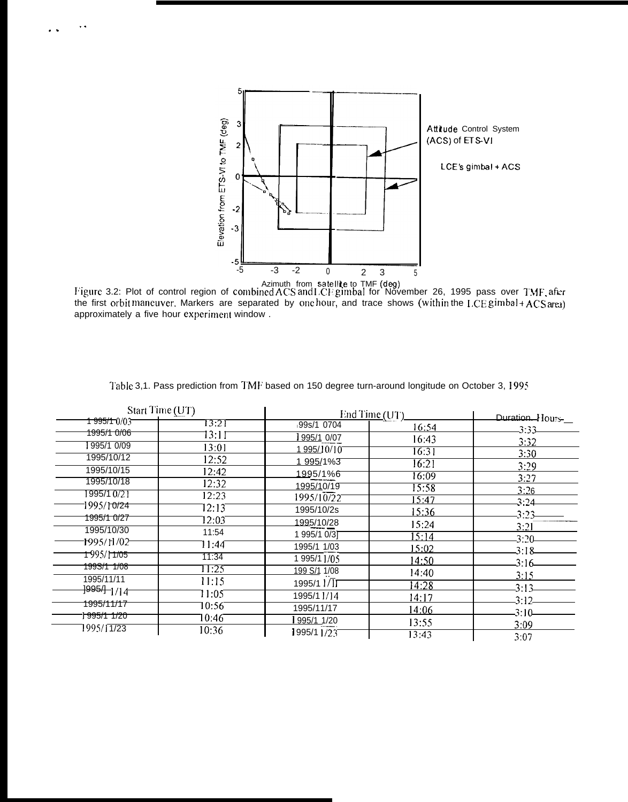

Azimuth from satellite to TMF (deg)<br>Figure 3.2: Plot of control region of combined ACS and LCF gimbal for November 26, 1995 pass over TMF after<br>the first orbit maneuver. Markers are separated by one hour, and trace shows ( approximately a five hour experiment window.

| Start Time (UT)          |       | End Time (UT)                 | Duration. Hours |         |
|--------------------------|-------|-------------------------------|-----------------|---------|
| <del>1 995/1 </del> 0/03 | 13:21 | 99s/1 0704                    | 16:54           | 3:33    |
| 1995/1 0/06              | 13:11 | 995/1 0/07                    | 16:43           |         |
| 995/1 0/09               | 13:01 | 1995/10/10                    | 16:31           | 3:32    |
| 1995/10/12               | 12:52 | 1 995/1%3                     | 16:21           | 3:30    |
| 1995/10/15               | 12:42 | <u>1995/1%6</u>               | 16:09           | 3:29    |
| 1995/10/18               | 12:32 | 1995/10/19                    | 15:58           | 3:27    |
| 995/10/21                | 12:23 | 1995/10/22                    | 15:47           | 3:26    |
| 1995/1 <del>0/24</del>   | 12:13 | 1995/10/2s                    | 15:36           | 3:24    |
| 1995/1 0/27              | 12:03 | 1995/10/28                    |                 | 3:23    |
| 1995/10/30               | 11:54 | 1 995/1 0/31                  | 15:24           | 3:21    |
| 1995/11/02               | 11:44 | 1995/1 1/03                   | 15:14           | 3:20    |
| <del>1 995/11/05</del>   | 11:34 | 1 995/1 1/05                  | 15:02           | 3:18    |
| <del>199S/1 1/08</del>   | 11:25 |                               | 14:50           | 3:16    |
| 1995/11/11               | 11:15 | 199 S/1 1/08                  | 14:40           | 3:15    |
| <del>]995/]_</del> ]/14- |       | 1995/1 $1/\overline{1}\Gamma$ | 14:28           | 3:13    |
| <del>1995/11/17</del>    | 11:05 | 1995/11/14                    | 14:17           | 3:12    |
| <del>1995/1 1/20</del>   | 10:56 | 1995/11/17                    | 14:06           | $3:10-$ |
|                          | 10:46 | 995/1 1/20                    | 13:55           | 3:09    |
| 1995/11/23               | 10:36 | 995/11/23                     | 13:43           | 3:07    |

Table 3,1. Pass prediction from TMF based on 150 degree turn-around longitude on October 3, 1995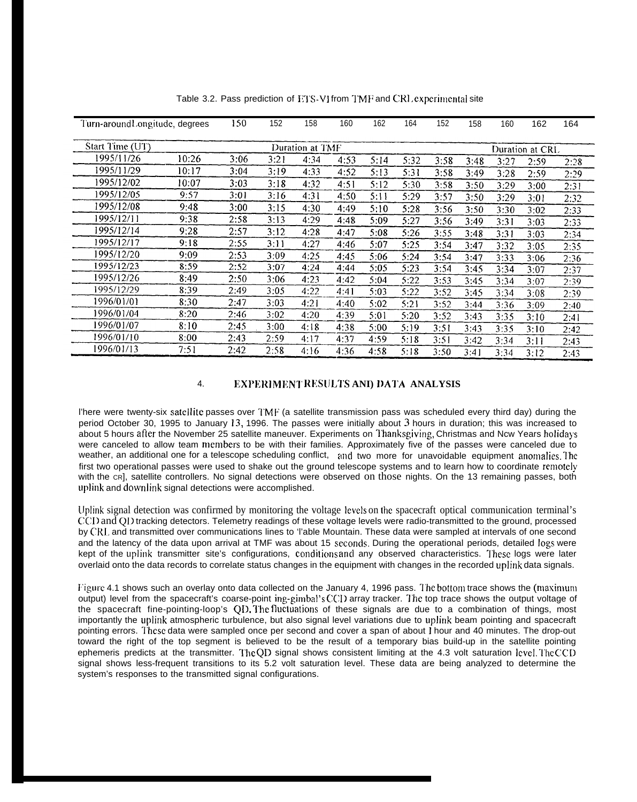| Turn-around Longitude, degrees |       | 150             | 152  | 158  | 160  | 162  | 164             | 152  | 158  | 160  | 162  | 164  |
|--------------------------------|-------|-----------------|------|------|------|------|-----------------|------|------|------|------|------|
| Start Time (UT)                |       | Duration at TMF |      |      |      |      | Duration at CRL |      |      |      |      |      |
| 1995/11/26                     | 10:26 | 3:06            | 3:21 | 4:34 | 4:53 | 5:14 | 5:32            | 3:58 | 3:48 | 3:27 | 2:59 | 2:28 |
| 1995/11/29                     | 10:17 | 3:04            | 3:19 | 4:33 | 4:52 | 5:13 | 5:31            | 3:58 | 3:49 | 3:28 | 2:59 | 2:29 |
| 1995/12/02                     | 10:07 | 3:03            | 3:18 | 4:32 | 4:51 | 5:12 | 5:30            | 3:58 | 3:50 | 3:29 | 3:00 | 2:31 |
| 1995/12/05                     | 9:57  | 3:01            | 3:16 | 4:31 | 4:50 | 5:11 | 5:29            | 3:57 | 3:50 | 3:29 | 3:01 | 2:32 |
| 1995/12/08                     | 9:48  | 3:00            | 3:15 | 4:30 | 4:49 | 5:10 | 5:28            | 3:56 | 3:50 | 3:30 | 3:02 | 2:33 |
| 1995/12/11                     | 9:38  | 2:58            | 3:13 | 4:29 | 4:48 | 5:09 | 5:27            | 3:56 | 3:49 | 3:31 | 3:03 | 2:33 |
| 1995/12/14                     | 9:28  | 2:57            | 3:12 | 4:28 | 4:47 | 5:08 | 5:26            | 3:55 | 3:48 | 3:31 | 3:03 | 2:34 |
| 1995/12/17                     | 9:18  | 2:55            | 3:11 | 4:27 | 4:46 | 5:07 | 5:25            | 3:54 | 3:47 | 3:32 | 3:05 | 2:35 |
| 1995/12/20                     | 9:09  | 2:53            | 3:09 | 4:25 | 4:45 | 5:06 | 5:24            | 3:54 | 3:47 | 3:33 | 3:06 | 2:36 |
| 1995/12/23                     | 8:59  | 2:52            | 3:07 | 4:24 | 4:44 | 5:05 | 5:23            | 3:54 | 3:45 | 3:34 | 3:07 | 2:37 |
| 1995/12/26                     | 8:49  | 2:50            | 3:06 | 4:23 | 4:42 | 5:04 | 5:22            | 3:53 | 3:45 | 3:34 | 3:07 | 2:39 |
| 1995/12/29                     | 8:39  | 2:49            | 3:05 | 4:22 | 4:41 | 5:03 | 5:22            | 3:52 | 3:45 | 3:34 | 3:08 | 2:39 |
| 1996/01/01                     | 8:30  | 2:47            | 3:03 | 4:21 | 4:40 | 5:02 | 5:21            | 3:52 | 3:44 | 3:36 | 3:09 | 2:40 |
| 1996/01/04                     | 8:20  | 2:46            | 3:02 | 4:20 | 4:39 | 5:01 | 5:20            | 3:52 | 3:43 | 3:35 | 3:10 | 2:41 |
| 1996/01/07                     | 8:10  | 2:45            | 3:00 | 4:18 | 4:38 | 5:00 | 5:19            | 3:51 | 3:43 | 3:35 | 3:10 | 2:42 |
| 1996/01/10                     | 8:00  | 2:43            | 2:59 | 4:17 | 4:37 | 4:59 | 5:18            | 3:51 | 3:42 | 3:34 | 3:11 | 2:43 |
| 1996/01/13                     | 7:51  | 2:42            | 2:58 | 4:16 | 4:36 | 4:58 | 5:18            | 3:50 | 3:41 | 3:34 | 3:12 | 2:43 |

Table 3.2. Pass prediction of ETS-VI from TMF and CRL experimental site

### 4. **IEXPERIMENTRESULTS ANI) DATA ANALYSIS**

l'here were twenty-six satellite passes over TMF (a satellite transmission pass was scheduled every third day) during the period October 30, 1995 to January 13, 1996. The passes were initially about 3 hours in duration; this was increased to about 5 hours after the November 25 satellite maneuver. Experiments on Thanksgiving, Christmas and Ncw Years holidays were canceled to allow team members to be with their families. Approximately five of the passes were canceled due to weather, an additional one for a telescope scheduling conflict, and two more for unavoidable equipment anomalics. The first two operational passes were used to shake out the ground telescope systems and to learn how to coordinate rernotcly with the cr], satellite controllers. No signal detections were observed on those nights. On the 13 remaining passes, both uplink and downlink signal detections were accomplished.

Uplink signal detection was confirmed by monitoring the voltage levels on the spacecraft optical communication terminal's CCI) and Ql) tracking detectors. Telemetry readings of these voltage levels were radio-transmitted to the ground, processed by CRL and transmitted over communications lines to 'l'able Mountain. These data were sampled at intervals of one second and the latency of the data upon arrival at TMF was about 15 seconds. During the operational periods, detailed logs were kept of the uplink transmitter site's configurations, conditions and any observed characteristics. These logs were later overlaid onto the data records to correlate status changes in the equipment with changes in the recorded uplink data signals.

Figure 4.1 shows such an overlay onto data collected on the January 4, 1996 pass. The bottom trace shows the (maximum output) level from the spacecraft's coarse-point ing-gimbal's CC1) array tracker. 1 'hc top trace shows the output voltage of the spacecraft fine-pointing-loop's QD. The fluctuations of these signals are due to a combination of things, most importantly the uplink atmospheric turbulence, but also signal level variations due to uplink beam pointing and spacecraft pointing errors. I'hcsc data were sampled once per second and cover a span of about 1 hour and 40 minutes. The drop-out toward the right of the top segment is believed to be the result of a temporary bias build-up in the satellite pointing ephemeris predicts at the transmitter. The QD signal shows consistent limiting at the 4.3 volt saturation Icvel. The CCD signal shows less-frequent transitions to its 5.2 volt saturation level. These data are being analyzed to determine the system's responses to the transmitted signal configurations.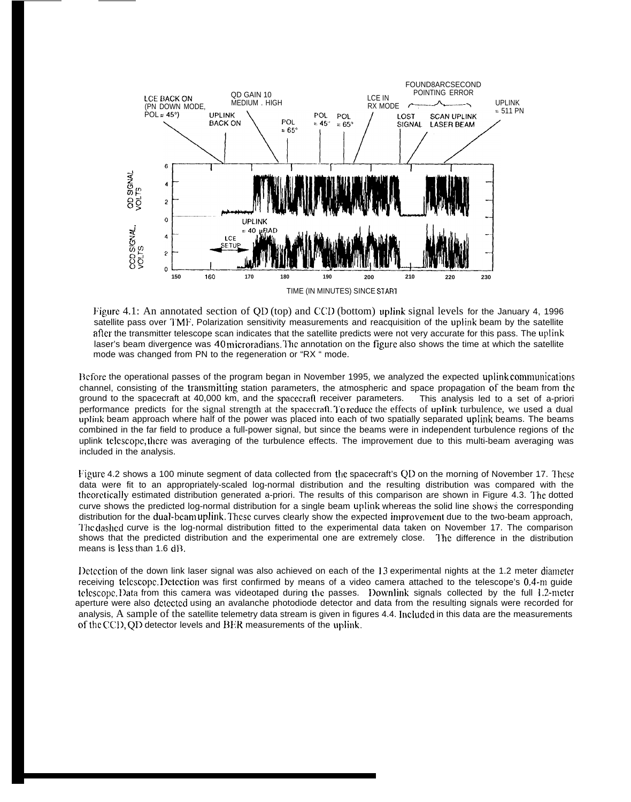

Figure 4.1: An annotated section of QD (top) and CCD (bottom) uplink signal levels for the January 4, 1996 satellite pass over I'MF. Polarization sensitivity measurements and reacquisition of the uplink beam by the satellite afler the transmitter telescope scan indicates that the satellite predicts were not very accurate for this pass. The uplink laser's beam divergence was 40 microradians. The annotation on the figure also shows the time at which the satellite mode was changed from PN to the regeneration or "RX " mode.

Before the operational passes of the program began in November 1995, we analyzed the expected uplink communications channel, consisting of the transmitting station parameters, the atmospheric and space propagation of the beam from the ground to the spacecraft at 40,000 km, and the spacecraft receiver parameters. This analysis led to a set of a-priori performance predicts for the signal strength at the spacecratl. I'o reduce the effects of uplink turbulence, we used a dual uplink beam approach where half of the power was placed into each of two spatially separated uplink beams. The beams combined in the far field to produce a full-power signal, but since the beams were in independent turbulence regions of the uplink tclcscopc, there was averaging of the turbulence effects. The improvement due to this multi-beam averaging was included in the analysis.

Figure 4.2 shows a 100 minute segment of data collected from the spacecraft's QD on the morning of November 17. These data were fit to an appropriately-scaled log-normal distribution and the resulting distribution was compared with the thcoretica]ly estimated distribution generated a-priori. The results of this comparison are shown in Figure 4.3. I'hc dotted curve shows the predicted log-normal distribution for a single beam uplink whereas the solid line shows the corresponding distribution for the dual-beam uplink. These curves clearly show the expected improvement due to the two-beam approach, The dashed curve is the log-normal distribution fitted to the experimental data taken on November 17. The comparison shows that the predicted distribution and the experimental one are extremely close. I'he difference in the distribution means is  $less than 1.6 dB$ .

I)etection of the down link laser signal was also achieved on each of the 13 experimental nights at the 1.2 meter diameter receiving telescope. Detection was first confirmed by means of a video camera attached to the telescope's 0.4-m quide telescope. Data from this camera was videotaped during the passes. Downlink signals collected by the full  $1.2$ -meter aperture were also dctcctcd using an avalanche photodiode detector and data from the resulting signals were recorded for analysis, A sample of the satellite telemetry data stream is given in figures 4.4. lncludcd in this data are the measurements of the CCD, QD detector levels and BER measurements of the uplink.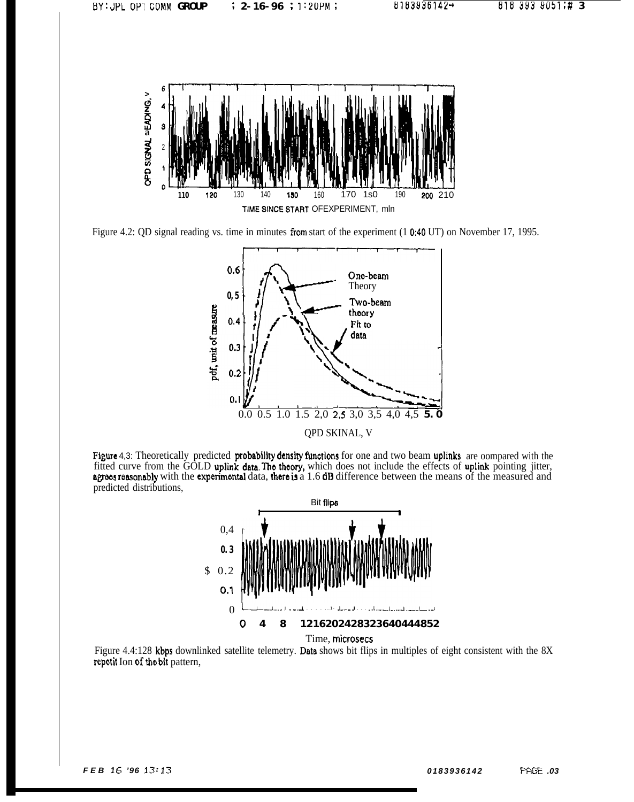

Figure 4.2: QD signal reading vs. time in minutes from start of the experiment (1 0:40 UT) on November 17, 1995.



Figure 4,3: Theoretically predicted probability density functions for one and two beam uplinks are oompared with the fitted curve from the GOLD uplink data. The theory, which does not include the effects of uplink pointing jitter, agrees reasonably with the experimental data, there is a 1.6 dB difference between the means of the measured predicted distributions,